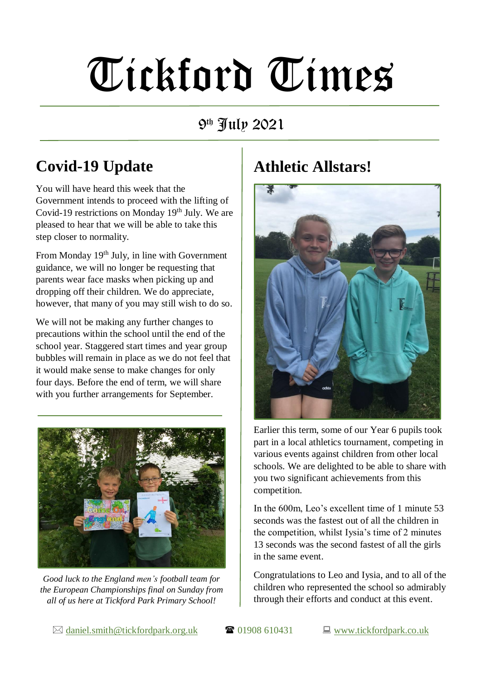# Tickford Times

9 th July 2021

# **Covid-19 Update**

You will have heard this week that the Government intends to proceed with the lifting of Covid-19 restrictions on Monday  $19<sup>th</sup>$  July. We are pleased to hear that we will be able to take this step closer to normality.

From Monday 19<sup>th</sup> July, in line with Government guidance, we will no longer be requesting that parents wear face masks when picking up and dropping off their children. We do appreciate, however, that many of you may still wish to do so.

We will not be making any further changes to precautions within the school until the end of the school year. Staggered start times and year group bubbles will remain in place as we do not feel that it would make sense to make changes for only four days. Before the end of term, we will share with you further arrangements for September.



*Good luck to the England men's football team for the European Championships final on Sunday from all of us here at Tickford Park Primary School!*

### **Athletic Allstars!**



Earlier this term, some of our Year 6 pupils took part in a local athletics tournament, competing in various events against children from other local schools. We are delighted to be able to share with you two significant achievements from this competition.

In the 600m, Leo's excellent time of 1 minute 53 seconds was the fastest out of all the children in the competition, whilst Iysia's time of 2 minutes 13 seconds was the second fastest of all the girls in the same event.

Congratulations to Leo and Iysia, and to all of the children who represented the school so admirably through their efforts and conduct at this event.

 $\boxtimes$  [daniel.smith@tickfordpark.org.uk](mailto:daniel.smith@tickfordpark.org.uk)  $\blacksquare$  01908 610431  $\blacksquare$  [www.tickfordpark.co.uk](http://www.tickfordpark.co.uk/)